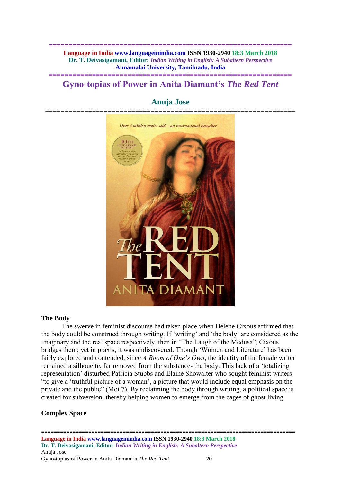**============================================================== Language in India www.languageinindia.com ISSN 1930-2940 18:3 March 2018 Dr. T. Deivasigamani, Editor:** *Indian Writing in English: A Subaltern Perspective* **Annamalai University, Tamilnadu, India**

# **============================================================== Gyno-topias of Power in Anita Diamant's** *The Red Tent*



# **Anuja Jose**

## **The Body**

The swerve in feminist discourse had taken place when Helene Cixous affirmed that the body could be construed through writing. If 'writing' and 'the body' are considered as the imaginary and the real space respectively, then in "The Laugh of the Medusa", Cixous bridges them; yet in praxis, it was undiscovered. Though 'Women and Literature' has been fairly explored and contended, since *A Room of One's Own*, the identity of the female writer remained a silhouette, far removed from the substance- the body. This lack of a 'totalizing representation' disturbed Patricia Stubbs and Elaine Showalter who sought feminist writers "to give a 'truthful picture of a woman', a picture that would include equal emphasis on the private and the public" (Moi 7). By reclaiming the body through writing, a political space is created for subversion, thereby helping women to emerge from the cages of ghost living.

# **Complex Space**

================================================================================= **Language in India www.languageinindia.com ISSN 1930-2940 18:3 March 2018 Dr. T. Deivasigamani, Editor:** *Indian Writing in English: A Subaltern Perspective* Anuja Jose Gyno-topias of Power in Anita Diamant's *The Red Tent* 20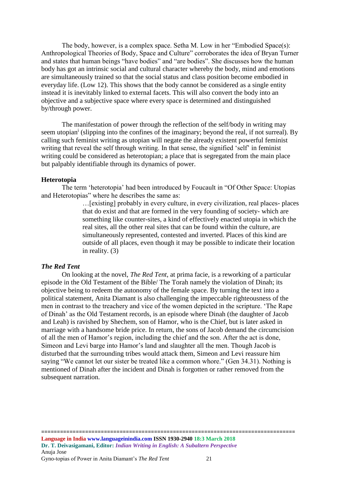The body, however, is a complex space. Setha M. Low in her "Embodied Space(s): Anthropological Theories of Body, Space and Culture" corroborates the idea of Bryan Turner and states that human beings "have bodies" and "are bodies". She discusses how the human body has got an intrinsic social and cultural character whereby the body, mind and emotions are simultaneously trained so that the social status and class position become embodied in everyday life. (Low 12). This shows that the body cannot be considered as a single entity instead it is inevitably linked to external facets. This will also convert the body into an objective and a subjective space where every space is determined and distinguished by/through power.

The manifestation of power through the reflection of the self/body in writing may seem utopian<sup>i</sup> (slipping into the confines of the imaginary; beyond the real, if not surreal). By calling such feminist writing as utopian will negate the already existent powerful feminist writing that reveal the self through writing. In that sense, the signified 'self' in feminist writing could be considered as heterotopian; a place that is segregated from the main place but palpably identifiable through its dynamics of power.

## **Heterotopia**

The term 'heterotopia' had been introduced by Foucault in "Of Other Space: Utopias and Heterotopias" where he describes the same as:

> …[existing] probably in every culture, in every civilization, real places- places that do exist and that are formed in the very founding of society- which are something like counter-sites, a kind of effectively enacted utopia in which the real sites, all the other real sites that can be found within the culture, are simultaneously represented, contested and inverted. Places of this kind are outside of all places, even though it may be possible to indicate their location in reality. (3)

# *The Red Tent*

On looking at the novel, *The Red Tent*, at prima facie, is a reworking of a particular episode in the Old Testament of the Bible/ The Torah namely the violation of Dinah; its objective being to redeem the autonomy of the female space. By turning the text into a political statement, Anita Diamant is also challenging the impeccable righteousness of the men in contrast to the treachery and vice of the women depicted in the scripture. 'The Rape of Dinah' as the Old Testament records, is an episode where Dinah (the daughter of Jacob and Leah) is ravished by Shechem, son of Hamor, who is the Chief, but is later asked in marriage with a handsome bride price. In return, the sons of Jacob demand the circumcision of all the men of Hamor's region, including the chief and the son. After the act is done, Simeon and Levi barge into Hamor's land and slaughter all the men. Though Jacob is disturbed that the surrounding tribes would attack them, Simeon and Levi reassure him saying "We cannot let our sister be treated like a common whore." (Gen 34.31). Nothing is mentioned of Dinah after the incident and Dinah is forgotten or rather removed from the subsequent narration.

=================================================================================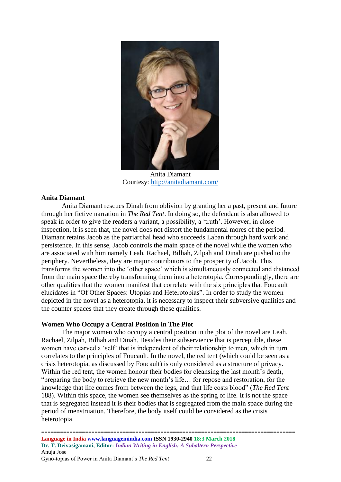

Anita Diamant Courtesy:<http://anitadiamant.com/>

# **Anita Diamant**

Anita Diamant rescues Dinah from oblivion by granting her a past, present and future through her fictive narration in *The Red Tent*. In doing so, the defendant is also allowed to speak in order to give the readers a variant, a possibility, a 'truth'. However, in close inspection, it is seen that, the novel does not distort the fundamental mores of the period. Diamant retains Jacob as the patriarchal head who succeeds Laban through hard work and persistence. In this sense, Jacob controls the main space of the novel while the women who are associated with him namely Leah, Rachael, Bilhah, Zilpah and Dinah are pushed to the periphery. Nevertheless, they are major contributors to the prosperity of Jacob. This transforms the women into the 'other space' which is simultaneously connected and distanced from the main space thereby transforming them into a heterotopia. Correspondingly, there are other qualities that the women manifest that correlate with the six principles that Foucault elucidates in "Of Other Spaces: Utopias and Heterotopias". In order to study the women depicted in the novel as a heterotopia, it is necessary to inspect their subversive qualities and the counter spaces that they create through these qualities.

# **Women Who Occupy a Central Position in The Plot**

The major women who occupy a central position in the plot of the novel are Leah, Rachael, Zilpah, Bilhah and Dinah. Besides their subservience that is perceptible, these women have carved a 'self' that is independent of their relationship to men, which in turn correlates to the principles of Foucault. In the novel, the red tent (which could be seen as a crisis heterotopia, as discussed by Foucault) is only considered as a structure of privacy. Within the red tent, the women honour their bodies for cleansing the last month's death, "preparing the body to retrieve the new month's life… for repose and restoration, for the knowledge that life comes from between the legs, and that life costs blood" (*The Red Tent*  188). Within this space, the women see themselves as the spring of life. It is not the space that is segregated instead it is their bodies that is segregated from the main space during the period of menstruation. Therefore, the body itself could be considered as the crisis heterotopia.

================================================================================= **Language in India www.languageinindia.com ISSN 1930-2940 18:3 March 2018 Dr. T. Deivasigamani, Editor:** *Indian Writing in English: A Subaltern Perspective* Anuja Jose Gyno-topias of Power in Anita Diamant's *The Red Tent* 22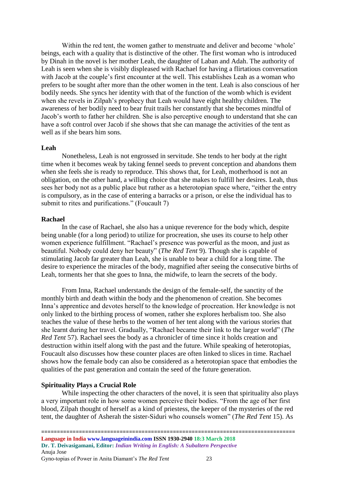Within the red tent, the women gather to menstruate and deliver and become 'whole' beings, each with a quality that is distinctive of the other. The first woman who is introduced by Dinah in the novel is her mother Leah, the daughter of Laban and Adah. The authority of Leah is seen when she is visibly displeased with Rachael for having a flirtatious conversation with Jacob at the couple's first encounter at the well. This establishes Leah as a woman who prefers to be sought after more than the other women in the tent. Leah is also conscious of her bodily needs. She syncs her identity with that of the function of the womb which is evident when she revels in Zilpah's prophecy that Leah would have eight healthy children. The awareness of her bodily need to bear fruit trails her constantly that she becomes mindful of Jacob's worth to father her children. She is also perceptive enough to understand that she can have a soft control over Jacob if she shows that she can manage the activities of the tent as well as if she bears him sons.

#### **Leah**

Nonetheless, Leah is not engrossed in servitude. She tends to her body at the right time when it becomes weak by taking fennel seeds to prevent conception and abandons them when she feels she is ready to reproduce. This shows that, for Leah, motherhood is not an obligation, on the other hand, a willing choice that she makes to fulfill her desires. Leah, thus sees her body not as a public place but rather as a heterotopian space where, "either the entry is compulsory, as in the case of entering a barracks or a prison, or else the individual has to submit to rites and purifications." (Foucault 7)

#### **Rachael**

In the case of Rachael, she also has a unique reverence for the body which, despite being unable (for a long period) to utilize for procreation, she uses its course to help other women experience fulfillment. "Rachael's presence was powerful as the moon, and just as beautiful. Nobody could deny her beauty" (*The Red Tent* 9). Though she is capable of stimulating Jacob far greater than Leah, she is unable to bear a child for a long time. The desire to experience the miracles of the body, magnified after seeing the consecutive births of Leah, torments her that she goes to Inna, the midwife, to learn the secrets of the body.

From Inna, Rachael understands the design of the female-self, the sanctity of the monthly birth and death within the body and the phenomenon of creation. She becomes Inna's apprentice and devotes herself to the knowledge of procreation. Her knowledge is not only linked to the birthing process of women, rather she explores herbalism too. She also teaches the value of these herbs to the women of her tent along with the various stories that she learnt during her travel. Gradually, "Rachael became their link to the larger world" (*The Red Tent* 57). Rachael sees the body as a chronicler of time since it holds creation and destruction within itself along with the past and the future. While speaking of heterotopias, Foucault also discusses how these counter places are often linked to slices in time. Rachael shows how the female body can also be considered as a heterotopian space that embodies the qualities of the past generation and contain the seed of the future generation.

## **Spirituality Plays a Crucial Role**

While inspecting the other characters of the novel, it is seen that spirituality also plays a very important role in how some women perceive their bodies. "From the age of her first blood, Zilpah thought of herself as a kind of priestess, the keeper of the mysteries of the red tent, the daughter of Asherah the sister-Siduri who counsels women" (*The Red Tent* 15). As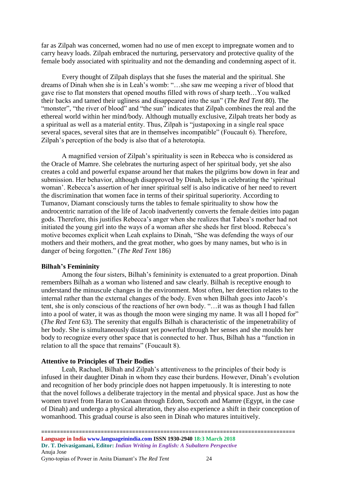far as Zilpah was concerned, women had no use of men except to impregnate women and to carry heavy loads. Zilpah embraced the nurturing, perservatory and protective quality of the female body associated with spirituality and not the demanding and condemning aspect of it.

Every thought of Zilpah displays that she fuses the material and the spiritual. She dreams of Dinah when she is in Leah's womb: "…she saw me weeping a river of blood that gave rise to flat monsters that opened mouths filled with rows of sharp teeth…You walked their backs and tamed their ugliness and disappeared into the sun" (*The Red Tent* 80). The "monster", "the river of blood" and "the sun" indicates that Zilpah combines the real and the ethereal world within her mind/body. Although mutually exclusive, Zilpah treats her body as a spiritual as well as a material entity. Thus, Zilpah is "justapoxing in a single real space several spaces, several sites that are in themselves incompatible" (Foucault 6). Therefore, Zilpah's perception of the body is also that of a heterotopia.

A magnified version of Zilpah's spirituality is seen in Rebecca who is considered as the Oracle of Mamre. She celebrates the nurturing aspect of her spiritual body, yet she also creates a cold and powerful expanse around her that makes the pilgrims bow down in fear and submission. Her behavior, although disapproved by Dinah, helps in celebrating the 'spiritual woman'. Rebecca's assertion of her inner spiritual self is also indicative of her need to revert the discrimination that women face in terms of their spiritual superiority. According to Tumanov, Diamant consciously turns the tables to female spirituality to show how the androcentric narration of the life of Jacob inadvertently converts the female deities into pagan gods. Therefore, this justifies Rebecca's anger when she realizes that Tabea's mother had not initiated the young girl into the ways of a woman after she sheds her first blood. Rebecca's motive becomes explicit when Leah explains to Dinah, "She was defending the ways of our mothers and their mothers, and the great mother, who goes by many names, but who is in danger of being forgotten." (*The Red Tent* 186)

## **Bilhah's Femininity**

Among the four sisters, Bilhah's femininity is extenuated to a great proportion. Dinah remembers Bilhah as a woman who listened and saw clearly. Bilhah is receptive enough to understand the minuscule changes in the environment. Most often, her detection relates to the internal rather than the external changes of the body. Even when Bilhah goes into Jacob's tent, she is only conscious of the reactions of her own body. "…it was as though I had fallen into a pool of water, it was as though the moon were singing my name. It was all I hoped for" (*The Red Tent* 63). The serenity that engulfs Bilhah is characteristic of the impenetrability of her body. She is simultaneously distant yet powerful through her senses and she moulds her body to recognize every other space that is connected to her. Thus, Bilhah has a "function in relation to all the space that remains" (Foucault 8).

## **Attentive to Principles of Their Bodies**

Leah, Rachael, Bilhah and Zilpah's attentiveness to the principles of their body is infused in their daughter Dinah in whom they ease their burdens. However, Dinah's evolution and recognition of her body principle does not happen impetuously. It is interesting to note that the novel follows a deliberate trajectory in the mental and physical space. Just as how the women travel from Haran to Canaan through Edom, Succoth and Mamre (Egypt, in the case of Dinah) and undergo a physical alteration, they also experience a shift in their conception of womanhood. This gradual course is also seen in Dinah who matures intuitively.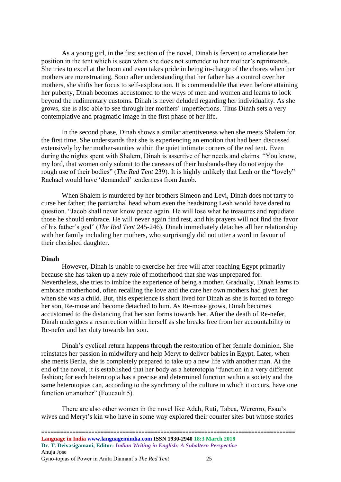As a young girl, in the first section of the novel, Dinah is fervent to ameliorate her position in the tent which is seen when she does not surrender to her mother's reprimands. She tries to excel at the loom and even takes pride in being in-charge of the chores when her mothers are menstruating. Soon after understanding that her father has a control over her mothers, she shifts her focus to self-exploration. It is commendable that even before attaining her puberty, Dinah becomes accustomed to the ways of men and women and learns to look beyond the rudimentary customs. Dinah is never deluded regarding her individuality. As she grows, she is also able to see through her mothers' imperfections. Thus Dinah sets a very contemplative and pragmatic image in the first phase of her life.

In the second phase, Dinah shows a similar attentiveness when she meets Shalem for the first time. She understands that she is experiencing an emotion that had been discussed extensively by her mother-aunties within the quiet intimate corners of the red tent. Even during the nights spent with Shalem, Dinah is assertive of her needs and claims. "You know, my lord, that women only submit to the caresses of their husbands-they do not enjoy the rough use of their bodies" (*The Red Tent* 239). It is highly unlikely that Leah or the "lovely" Rachael would have 'demanded' tenderness from Jacob.

When Shalem is murdered by her brothers Simeon and Levi, Dinah does not tarry to curse her father; the patriarchal head whom even the headstrong Leah would have dared to question. "Jacob shall never know peace again. He will lose what he treasures and repudiate those he should embrace. He will never again find rest, and his prayers will not find the favor of his father's god" (*The Red Tent* 245-246). Dinah immediately detaches all her relationship with her family including her mothers, who surprisingly did not utter a word in favour of their cherished daughter.

## **Dinah**

However, Dinah is unable to exercise her free will after reaching Egypt primarily because she has taken up a new role of motherhood that she was unprepared for. Nevertheless, she tries to imbibe the experience of being a mother. Gradually, Dinah learns to embrace motherhood, often recalling the love and the care her own mothers had given her when she was a child. But, this experience is short lived for Dinah as she is forced to forego her son, Re-mose and become detached to him. As Re-mose grows, Dinah becomes accustomed to the distancing that her son forms towards her. After the death of Re-nefer, Dinah undergoes a resurrection within herself as she breaks free from her accountability to Re-nefer and her duty towards her son.

Dinah's cyclical return happens through the restoration of her female dominion. She reinstates her passion in midwifery and help Meryt to deliver babies in Egypt. Later, when she meets Benia, she is completely prepared to take up a new life with another man. At the end of the novel, it is established that her body as a heterotopia "function in a very different fashion; for each heterotopia has a precise and determined function within a society and the same heterotopias can, according to the synchrony of the culture in which it occurs, have one function or another" (Foucault 5).

There are also other women in the novel like Adah, Ruti, Tabea, Werenro, Esau's wives and Meryt's kin who have in some way explored their counter sites but whose stories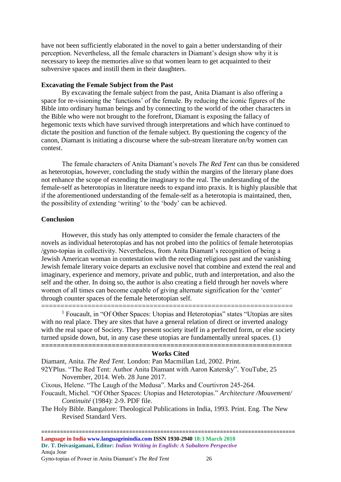have not been sufficiently elaborated in the novel to gain a better understanding of their perception. Nevertheless, all the female characters in Diamant's design show why it is necessary to keep the memories alive so that women learn to get acquainted to their subversive spaces and instill them in their daughters.

# **Excavating the Female Subject from the Past**

By excavating the female subject from the past, Anita Diamant is also offering a space for re-visioning the 'functions' of the female. By reducing the iconic figures of the Bible into ordinary human beings and by connecting to the world of the other characters in the Bible who were not brought to the forefront, Diamant is exposing the fallacy of hegemonic texts which have survived through interpretations and which have continued to dictate the position and function of the female subject. By questioning the cogency of the canon, Diamant is initiating a discourse where the sub-stream literature on/by women can contest.

The female characters of Anita Diamant's novels *The Red Tent* can thus be considered as heterotopias, however, concluding the study within the margins of the literary plane does not enhance the scope of extending the imaginary to the real. The understanding of the female-self as heterotopias in literature needs to expand into praxis. It is highly plausible that if the aforementioned understanding of the female-self as a heterotopia is maintained, then, the possibility of extending 'writing' to the 'body' can be achieved.

# **Conclusion**

However, this study has only attempted to consider the female characters of the novels as individual heterotopias and has not probed into the politics of female heterotopias /gyno-topias in collectivity. Nevertheless, from Anita Diamant's recognition of being a Jewish American woman in contestation with the receding religious past and the vanishing Jewish female literary voice departs an exclusive novel that combine and extend the real and imaginary, experience and memory, private and public, truth and interpretation, and also the self and the other. In doing so, the author is also creating a field through her novels where women of all times can become capable of giving alternate signification for the 'center' through counter spaces of the female heterotopian self.

================================================================= <sup>1</sup> Foucault, in "Of Other Spaces: Utopias and Heterotopias" states "Utopias are sites with no real place. They are sites that have a general relation of direct or inverted analogy with the real space of Society. They present society itself in a perfected form, or else society turned upside down, but, in any case these utopias are fundamentally unreal spaces. (1) **================================================================**

## **Works Cited**

Diamant, Anita. *The Red Tent*. London: Pan Macmillan Ltd, 2002. Print. 92YPlus. "The Red Tent: Author Anita Diamant with Aaron Katersky". YouTube, 25 November, 2014. Web. 28 June 2017.

Cixous, Helene. "The Laugh of the Medusa". Marks and Courtivron 245-264.

Foucault, Michel. "Of Other Spaces: Utopias and Heterotopias." *Architecture /Mouvement/ Continuité* (1984): 2-9. PDF file.

The Holy Bible. Bangalore: Theological Publications in India, 1993. Print. Eng. The New Revised Standard Vers.

=============================== **Language in India www.languageinindia.com ISSN 1930-2940 18:3 March 2018 Dr. T. Deivasigamani, Editor:** *Indian Writing in English: A Subaltern Perspective* Anuja Jose

Gyno-topias of Power in Anita Diamant's *The Red Tent* 26